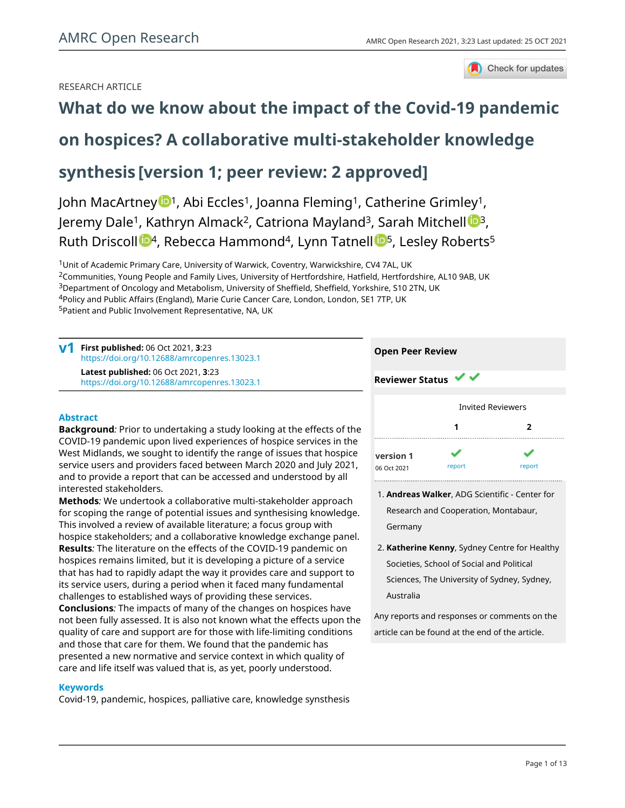Check for updates

# RESEARCH ARTICLE

# **[What do we know about the impact of the Covid-19 pandemic](https://amrcopenresearch.org/articles/3-23/v1)**

# **[on hospices? A collaborative multi-stakeholder knowledge](https://amrcopenresearch.org/articles/3-23/v1)**

# **[synthesis](https://amrcopenresearch.org/articles/3-23/v1) [version 1; peer review: 2 approved]**

John MacArtney  $\mathbb{D}^1$  $\mathbb{D}^1$ , Abi Eccles<sup>1</sup>, Joanna Fleming<sup>1</sup>, Catherine Grimley<sup>1</sup>, Jeremy Dale<sup>1</sup>, Kathryn Almack<sup>2</sup>, Catriona Mayland<sup>[3](https://orcid.org/0000-0002-1477-7860)</sup>, Sarah Mitchell <sup>13</sup>, Ruth Driscoll  $\mathbb{D}^4$  $\mathbb{D}^4$ , Rebecca Hammond<sup>4</sup>, Lynn Tatnell  $\mathbb{D}^5$ , Lesley Roberts<sup>5</sup>

<sup>1</sup>Unit of Academic Primary Care, University of Warwick, Coventry, Warwickshire, CV4 7AL, UK Communities, Young People and Family Lives, University of Hertfordshire, Hatfield, Hertfordshire, AL10 9AB, UK Department of Oncology and Metabolism, University of Sheffield, Sheffield, Yorkshire, S10 2TN, UK Policy and Public Affairs (England), Marie Curie Cancer Care, London, London, SE1 7TP, UK Patient and Public Involvement Representative, NA, UK

**First published:** 06 Oct 2021, **3**:23 **v1** <https://doi.org/10.12688/amrcopenres.13023.1> **Latest published:** 06 Oct 2021, **3**:23 <https://doi.org/10.12688/amrcopenres.13023.1>

# **Abstract**

**Background***:* Prior to undertaking a study looking at the effects of the COVID-19 pandemic upon lived experiences of hospice services in the West Midlands, we sought to identify the range of issues that hospice service users and providers faced between March 2020 and July 2021, and to provide a report that can be accessed and understood by all interested stakeholders.

**Methods***:* We undertook a collaborative multi-stakeholder approach for scoping the range of potential issues and synthesising knowledge. This involved a review of available literature; a focus group with hospice stakeholders; and a collaborative knowledge exchange panel. **Results***:* The literature on the effects of the COVID-19 pandemic on hospices remains limited, but it is developing a picture of a service that has had to rapidly adapt the way it provides care and support to its service users, during a period when it faced many fundamental challenges to established ways of providing these services. **Conclusions***:* The impacts of many of the changes on hospices have not been fully assessed. It is also not known what the effects upon the quality of care and support are for those with life-limiting conditions and those that care for them. We found that the pandemic has presented a new normative and service context in which quality of care and life itself was valued that is, as yet, poorly understood.

# **Keywords**

Covid-19, pandemic, hospices, palliative care, knowledge synsthesis



- **Andreas Walker**, ADG Scientific Center for 1. Research and Cooperation, Montabaur, Germany
- **Katherine Kenny**, Sydney Centre for Healthy 2. Societies, School of Social and Political Sciences, The University of Sydney, Sydney, Australia

Any reports and responses or comments on the article can be found at the end of the article.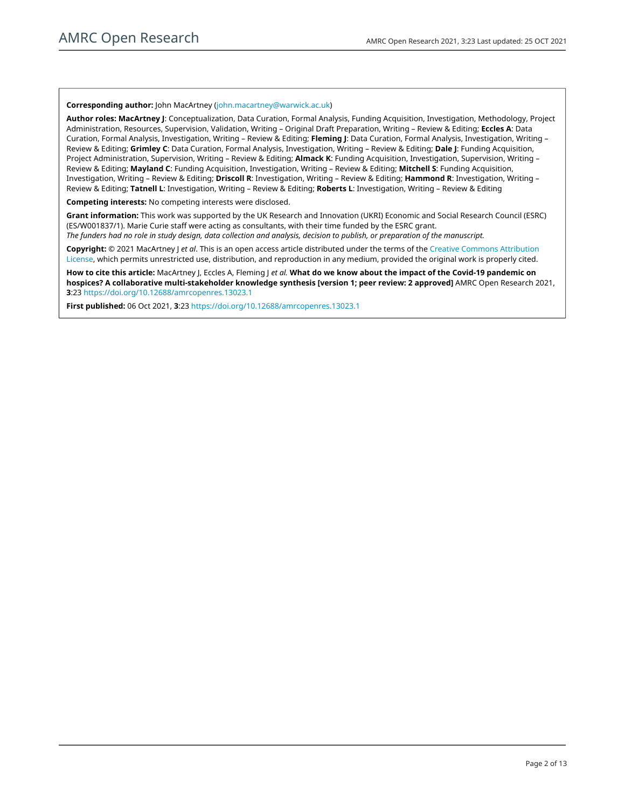#### **Corresponding author:** John MacArtney [\(john.macartney@warwick.ac.uk](mailto:john.macartney@warwick.ac.uk))

**Author roles: MacArtney J**: Conceptualization, Data Curation, Formal Analysis, Funding Acquisition, Investigation, Methodology, Project Administration, Resources, Supervision, Validation, Writing – Original Draft Preparation, Writing – Review & Editing; **Eccles A**: Data Curation, Formal Analysis, Investigation, Writing – Review & Editing; **Fleming J**: Data Curation, Formal Analysis, Investigation, Writing – Review & Editing; **Grimley C**: Data Curation, Formal Analysis, Investigation, Writing – Review & Editing; **Dale J**: Funding Acquisition, Project Administration, Supervision, Writing – Review & Editing; **Almack K**: Funding Acquisition, Investigation, Supervision, Writing – Review & Editing; **Mayland C**: Funding Acquisition, Investigation, Writing – Review & Editing; **Mitchell S**: Funding Acquisition, Investigation, Writing – Review & Editing; **Driscoll R**: Investigation, Writing – Review & Editing; **Hammond R**: Investigation, Writing – Review & Editing; **Tatnell L**: Investigation, Writing – Review & Editing; **Roberts L**: Investigation, Writing – Review & Editing

**Competing interests:** No competing interests were disclosed.

**Grant information:** This work was supported by the UK Research and Innovation (UKRI) Economic and Social Research Council (ESRC) (ES/W001837/1). Marie Curie staff were acting as consultants, with their time funded by the ESRC grant.

*The funders had no role in study design, data collection and analysis, decision to publish, or preparation of the manuscript.*

**Copyright:** © 2021 MacArtney J *et al*. This is an open access article distributed under the terms of the [Creative Commons Attribution](http://creativecommons.org/licenses/by/4.0/) [License](http://creativecommons.org/licenses/by/4.0/), which permits unrestricted use, distribution, and reproduction in any medium, provided the original work is properly cited.

**How to cite this article:** MacArtney J, Eccles A, Fleming J *et al.* **What do we know about the impact of the Covid-19 pandemic on hospices? A collaborative multi-stakeholder knowledge synthesis [version 1; peer review: 2 approved]** AMRC Open Research 2021, **3**:23 <https://doi.org/10.12688/amrcopenres.13023.1>

**First published:** 06 Oct 2021, **3**:23<https://doi.org/10.12688/amrcopenres.13023.1>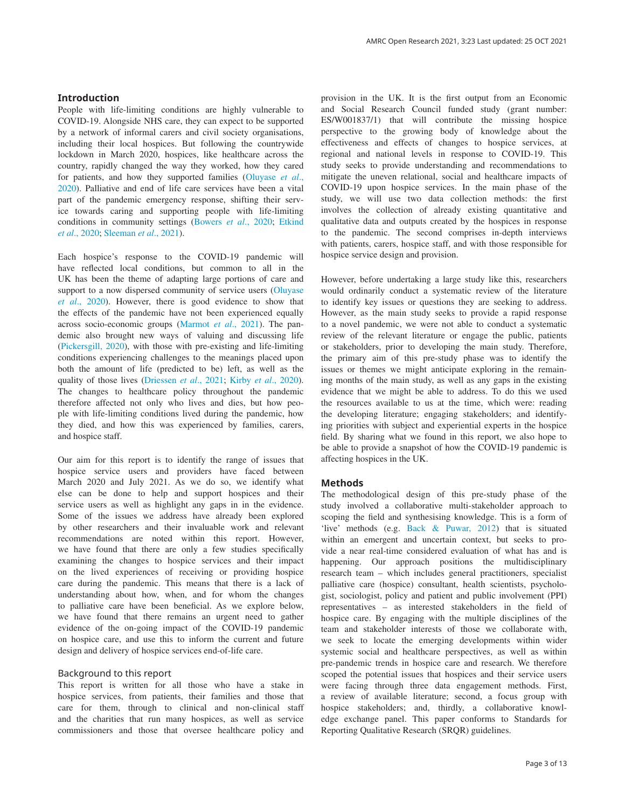# **Introduction**

People with life-limiting conditions are highly vulnerable to COVID-19. Alongside NHS care, they can expect to be supported by a network of informal carers and civil society organisations, including their local hospices. But following the countrywide lockdown in March 2020, hospices, like healthcare across the country, rapidly changed the way they worked, how they cared for patients, and how they supported families ([Oluyase](#page-9-0) *et al*., [2020\)](#page-9-0). Palliative and end of life care services have been a vital part of the pandemic emergency response, shifting their service towards caring and supporting people with life-limiting conditions in community settings [\(Bowers](#page-9-0) *et al*., 2020; [Etkind](#page-9-0)  *et al*[., 2020](#page-9-0); [Sleeman](#page-9-0) *et al*., 2021).

Each hospice's response to the COVID-19 pandemic will have reflected local conditions, but common to all in the UK has been the theme of adapting large portions of care and support to a now dispersed community of service users [\(Oluyase](#page-9-0)  *et al*[., 2020](#page-9-0)). However, there is good evidence to show that the effects of the pandemic have not been experienced equally across socio-economic groups [\(Marmot](#page-9-0) *et al*., 2021). The pandemic also brought new ways of valuing and discussing life ([Pickersgill, 2020\)](#page-9-0), with those with pre-existing and life-limiting conditions experiencing challenges to the meanings placed upon both the amount of life (predicted to be) left, as well as the quality of those lives [\(Driessen](#page-9-0) *et al*., 2021; Kirby *et al*[., 2020](#page-9-0)). The changes to healthcare policy throughout the pandemic therefore affected not only who lives and dies, but how people with life-limiting conditions lived during the pandemic, how they died, and how this was experienced by families, carers, and hospice staff.

Our aim for this report is to identify the range of issues that hospice service users and providers have faced between March 2020 and July 2021. As we do so, we identify what else can be done to help and support hospices and their service users as well as highlight any gaps in in the evidence. Some of the issues we address have already been explored by other researchers and their invaluable work and relevant recommendations are noted within this report. However, we have found that there are only a few studies specifically examining the changes to hospice services and their impact on the lived experiences of receiving or providing hospice care during the pandemic. This means that there is a lack of understanding about how, when, and for whom the changes to palliative care have been beneficial. As we explore below, we have found that there remains an urgent need to gather evidence of the on-going impact of the COVID-19 pandemic on hospice care, and use this to inform the current and future design and delivery of hospice services end-of-life care.

### Background to this report

This report is written for all those who have a stake in hospice services, from patients, their families and those that care for them, through to clinical and non-clinical staff and the charities that run many hospices, as well as service commissioners and those that oversee healthcare policy and

provision in the UK. It is the first output from an Economic and Social Research Council funded study (grant number: ES/W001837/1) that will contribute the missing hospice perspective to the growing body of knowledge about the effectiveness and effects of changes to hospice services, at regional and national levels in response to COVID-19. This study seeks to provide understanding and recommendations to mitigate the uneven relational, social and healthcare impacts of COVID-19 upon hospice services. In the main phase of the study, we will use two data collection methods: the first involves the collection of already existing quantitative and qualitative data and outputs created by the hospices in response to the pandemic. The second comprises in-depth interviews with patients, carers, hospice staff, and with those responsible for hospice service design and provision.

However, before undertaking a large study like this, researchers would ordinarily conduct a systematic review of the literature to identify key issues or questions they are seeking to address. However, as the main study seeks to provide a rapid response to a novel pandemic, we were not able to conduct a systematic review of the relevant literature or engage the public, patients or stakeholders, prior to developing the main study. Therefore, the primary aim of this pre-study phase was to identify the issues or themes we might anticipate exploring in the remaining months of the main study, as well as any gaps in the existing evidence that we might be able to address. To do this we used the resources available to us at the time, which were: reading the developing literature; engaging stakeholders; and identifying priorities with subject and experiential experts in the hospice field. By sharing what we found in this report, we also hope to be able to provide a snapshot of how the COVID-19 pandemic is affecting hospices in the UK.

# **Methods**

The methodological design of this pre-study phase of the study involved a collaborative multi-stakeholder approach to scoping the field and synthesising knowledge. This is a form of 'live' methods (e.g. [Back & Puwar, 2012](#page-9-0)) that is situated within an emergent and uncertain context, but seeks to provide a near real-time considered evaluation of what has and is happening. Our approach positions the multidisciplinary research team – which includes general practitioners, specialist palliative care (hospice) consultant, health scientists, psychologist, sociologist, policy and patient and public involvement (PPI) representatives – as interested stakeholders in the field of hospice care. By engaging with the multiple disciplines of the team and stakeholder interests of those we collaborate with, we seek to locate the emerging developments within wider systemic social and healthcare perspectives, as well as within pre-pandemic trends in hospice care and research. We therefore scoped the potential issues that hospices and their service users were facing through three data engagement methods. First, a review of available literature; second, a focus group with hospice stakeholders; and, thirdly, a collaborative knowledge exchange panel. This paper conforms to Standards for Reporting Qualitative Research (SRQR) guidelines.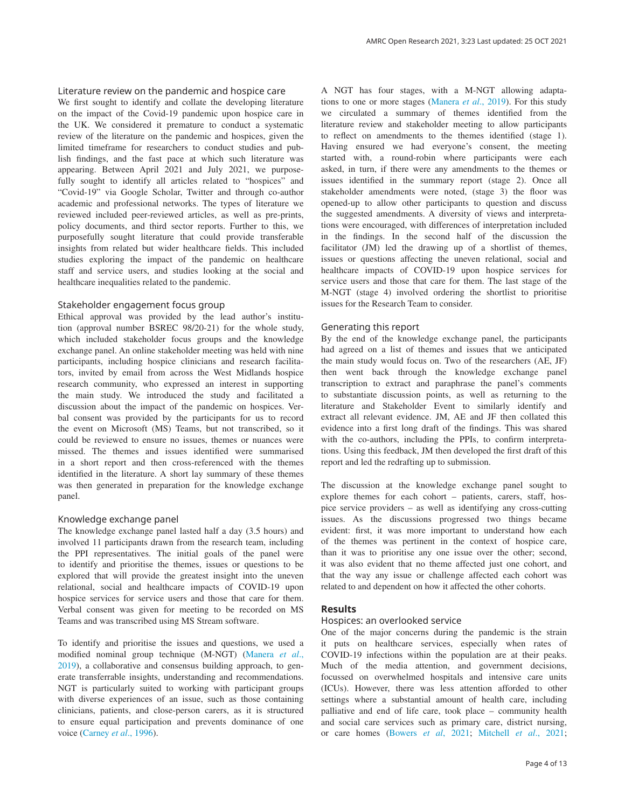## Literature review on the pandemic and hospice care

We first sought to identify and collate the developing literature on the impact of the Covid-19 pandemic upon hospice care in the UK. We considered it premature to conduct a systematic review of the literature on the pandemic and hospices, given the limited timeframe for researchers to conduct studies and publish findings, and the fast pace at which such literature was appearing. Between April 2021 and July 2021, we purposefully sought to identify all articles related to "hospices" and "Covid-19" via Google Scholar, Twitter and through co-author academic and professional networks. The types of literature we reviewed included peer-reviewed articles, as well as pre-prints, policy documents, and third sector reports. Further to this, we purposefully sought literature that could provide transferable insights from related but wider healthcare fields. This included studies exploring the impact of the pandemic on healthcare staff and service users, and studies looking at the social and healthcare inequalities related to the pandemic.

### Stakeholder engagement focus group

Ethical approval was provided by the lead author's institution (approval number BSREC 98/20-21) for the whole study, which included stakeholder focus groups and the knowledge exchange panel. An online stakeholder meeting was held with nine participants, including hospice clinicians and research facilitators, invited by email from across the West Midlands hospice research community, who expressed an interest in supporting the main study. We introduced the study and facilitated a discussion about the impact of the pandemic on hospices. Verbal consent was provided by the participants for us to record the event on Microsoft (MS) Teams, but not transcribed, so it could be reviewed to ensure no issues, themes or nuances were missed. The themes and issues identified were summarised in a short report and then cross-referenced with the themes identified in the literature. A short lay summary of these themes was then generated in preparation for the knowledge exchange panel.

## Knowledge exchange panel

The knowledge exchange panel lasted half a day (3.5 hours) and involved 11 participants drawn from the research team, including the PPI representatives. The initial goals of the panel were to identify and prioritise the themes, issues or questions to be explored that will provide the greatest insight into the uneven relational, social and healthcare impacts of COVID-19 upon hospice services for service users and those that care for them. Verbal consent was given for meeting to be recorded on MS Teams and was transcribed using MS Stream software.

To identify and prioritise the issues and questions, we used a modified nominal group technique (M-NGT) ([Manera](#page-9-0) *et al*., [2019\)](#page-9-0), a collaborative and consensus building approach, to generate transferrable insights, understanding and recommendations. NGT is particularly suited to working with participant groups with diverse experiences of an issue, such as those containing clinicians, patients, and close-person carers, as it is structured to ensure equal participation and prevents dominance of one voice [\(Carney](#page-9-0) *et al*., 1996).

A NGT has four stages, with a M-NGT allowing adaptations to one or more stages ([Manera](#page-9-0) *et al*., 2019). For this study we circulated a summary of themes identified from the literature review and stakeholder meeting to allow participants to reflect on amendments to the themes identified (stage 1). Having ensured we had everyone's consent, the meeting started with, a round-robin where participants were each asked, in turn, if there were any amendments to the themes or issues identified in the summary report (stage 2). Once all stakeholder amendments were noted, (stage 3) the floor was opened-up to allow other participants to question and discuss the suggested amendments. A diversity of views and interpretations were encouraged, with differences of interpretation included in the findings. In the second half of the discussion the facilitator (JM) led the drawing up of a shortlist of themes, issues or questions affecting the uneven relational, social and healthcare impacts of COVID-19 upon hospice services for service users and those that care for them. The last stage of the M-NGT (stage 4) involved ordering the shortlist to prioritise issues for the Research Team to consider.

#### Generating this report

By the end of the knowledge exchange panel, the participants had agreed on a list of themes and issues that we anticipated the main study would focus on. Two of the researchers (AE, JF) then went back through the knowledge exchange panel transcription to extract and paraphrase the panel's comments to substantiate discussion points, as well as returning to the literature and Stakeholder Event to similarly identify and extract all relevant evidence. JM, AE and JF then collated this evidence into a first long draft of the findings. This was shared with the co-authors, including the PPIs, to confirm interpretations. Using this feedback, JM then developed the first draft of this report and led the redrafting up to submission.

The discussion at the knowledge exchange panel sought to explore themes for each cohort – patients, carers, staff, hospice service providers – as well as identifying any cross-cutting issues. As the discussions progressed two things became evident: first, it was more important to understand how each of the themes was pertinent in the context of hospice care, than it was to prioritise any one issue over the other; second, it was also evident that no theme affected just one cohort, and that the way any issue or challenge affected each cohort was related to and dependent on how it affected the other cohorts.

# **Results**

### Hospices: an overlooked service

One of the major concerns during the pandemic is the strain it puts on healthcare services, especially when rates of COVID-19 infections within the population are at their peaks. Much of the media attention, and government decisions, focussed on overwhelmed hospitals and intensive care units (ICUs). However, there was less attention afforded to other settings where a substantial amount of health care, including palliative and end of life care, took place – community health and social care services such as primary care, district nursing, or care homes [\(Bowers](#page-9-0) *et al*, 2021; [Mitchell](#page-9-0) *et al*., 2021;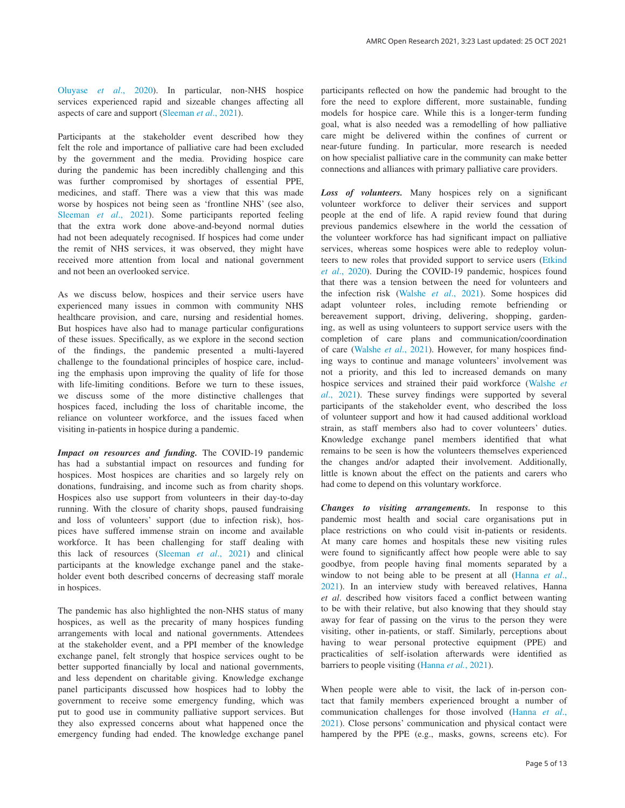Oluyase *et al*[., 2020\)](#page-9-0). In particular, non-NHS hospice services experienced rapid and sizeable changes affecting all aspects of care and support [\(Sleeman](#page-9-0) *et al*., 2021).

Participants at the stakeholder event described how they felt the role and importance of palliative care had been excluded by the government and the media. Providing hospice care during the pandemic has been incredibly challenging and this was further compromised by shortages of essential PPE, medicines, and staff. There was a view that this was made worse by hospices not being seen as 'frontline NHS' (see also, [Sleeman](#page-9-0) *et al*., 2021). Some participants reported feeling that the extra work done above-and-beyond normal duties had not been adequately recognised. If hospices had come under the remit of NHS services, it was observed, they might have received more attention from local and national government and not been an overlooked service.

As we discuss below, hospices and their service users have experienced many issues in common with community NHS healthcare provision, and care, nursing and residential homes. But hospices have also had to manage particular configurations of these issues. Specifically, as we explore in the second section of the findings, the pandemic presented a multi-layered challenge to the foundational principles of hospice care, including the emphasis upon improving the quality of life for those with life-limiting conditions. Before we turn to these issues, we discuss some of the more distinctive challenges that hospices faced, including the loss of charitable income, the reliance on volunteer workforce, and the issues faced when visiting in-patients in hospice during a pandemic.

*Impact on resources and funding.* The COVID-19 pandemic has had a substantial impact on resources and funding for hospices. Most hospices are charities and so largely rely on donations, fundraising, and income such as from charity shops. Hospices also use support from volunteers in their day-to-day running. With the closure of charity shops, paused fundraising and loss of volunteers' support (due to infection risk), hospices have suffered immense strain on income and available workforce. It has been challenging for staff dealing with this lack of resources [\(Sleeman](#page-9-0) *et al*., 2021) and clinical participants at the knowledge exchange panel and the stakeholder event both described concerns of decreasing staff morale in hospices.

The pandemic has also highlighted the non-NHS status of many hospices, as well as the precarity of many hospices funding arrangements with local and national governments. Attendees at the stakeholder event, and a PPI member of the knowledge exchange panel, felt strongly that hospice services ought to be better supported financially by local and national governments, and less dependent on charitable giving. Knowledge exchange panel participants discussed how hospices had to lobby the government to receive some emergency funding, which was put to good use in community palliative support services. But they also expressed concerns about what happened once the emergency funding had ended. The knowledge exchange panel

participants reflected on how the pandemic had brought to the fore the need to explore different, more sustainable, funding models for hospice care. While this is a longer-term funding goal, what is also needed was a remodelling of how palliative care might be delivered within the confines of current or near-future funding. In particular, more research is needed on how specialist palliative care in the community can make better connections and alliances with primary palliative care providers.

*Loss of volunteers.* Many hospices rely on a significant volunteer workforce to deliver their services and support people at the end of life. A rapid review found that during previous pandemics elsewhere in the world the cessation of the volunteer workforce has had significant impact on palliative services, whereas some hospices were able to redeploy volunteers to new roles that provided support to service users ([Etkind](#page-9-0)  *et al*[., 2020](#page-9-0)). During the COVID-19 pandemic, hospices found that there was a tension between the need for volunteers and the infection risk [\(Walshe](#page-9-0) *et al*., 2021). Some hospices did adapt volunteer roles, including remote befriending or bereavement support, driving, delivering, shopping, gardening, as well as using volunteers to support service users with the completion of care plans and communication/coordination of care [\(Walshe](#page-9-0) *et al*., 2021). However, for many hospices finding ways to continue and manage volunteers' involvement was not a priority, and this led to increased demands on many hospice services and strained their paid workforce [\(Walshe](#page-9-0) *et al*[., 2021\)](#page-9-0). These survey findings were supported by several participants of the stakeholder event, who described the loss of volunteer support and how it had caused additional workload strain, as staff members also had to cover volunteers' duties. Knowledge exchange panel members identified that what remains to be seen is how the volunteers themselves experienced the changes and/or adapted their involvement. Additionally, little is known about the effect on the patients and carers who had come to depend on this voluntary workforce.

*Changes to visiting arrangements.* In response to this pandemic most health and social care organisations put in place restrictions on who could visit in-patients or residents. At many care homes and hospitals these new visiting rules were found to significantly affect how people were able to say goodbye, from people having final moments separated by a window to not being able to be present at all ([Hanna](#page-9-0) *et al*., [2021\)](#page-9-0). In an interview study with bereaved relatives, Hanna *et al*. described how visitors faced a conflict between wanting to be with their relative, but also knowing that they should stay away for fear of passing on the virus to the person they were visiting, other in-patients, or staff. Similarly, perceptions about having to wear personal protective equipment (PPE) and practicalities of self-isolation afterwards were identified as barriers to people visiting [\(Hanna](#page-9-0) *et al.*, 2021).

When people were able to visit, the lack of in-person contact that family members experienced brought a number of communication challenges for those involved [\(Hanna](#page-9-0) *et al*., [2021\)](#page-9-0). Close persons' communication and physical contact were hampered by the PPE (e.g., masks, gowns, screens etc). For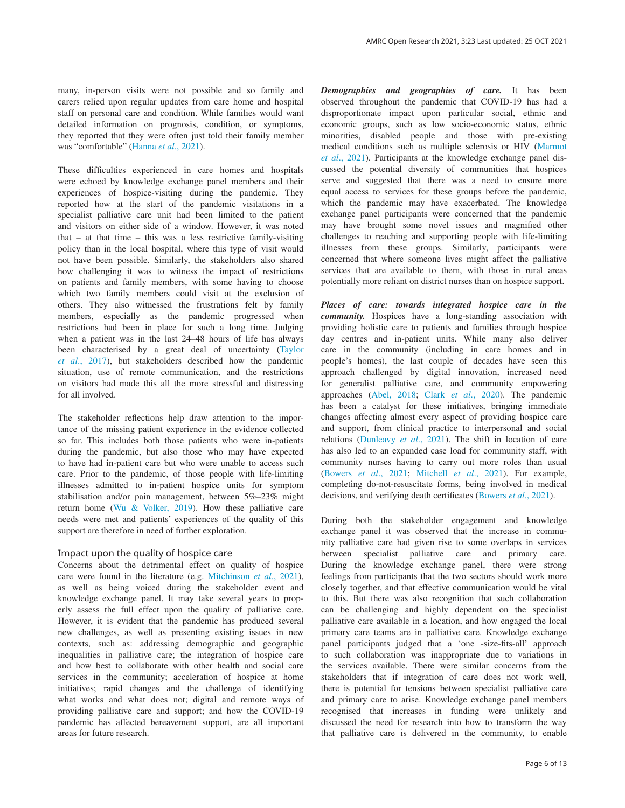many, in-person visits were not possible and so family and carers relied upon regular updates from care home and hospital staff on personal care and condition. While families would want detailed information on prognosis, condition, or symptoms, they reported that they were often just told their family member was "comfortable" ([Hanna](#page-9-0) *et al*., 2021).

These difficulties experienced in care homes and hospitals were echoed by knowledge exchange panel members and their experiences of hospice-visiting during the pandemic. They reported how at the start of the pandemic visitations in a specialist palliative care unit had been limited to the patient and visitors on either side of a window. However, it was noted that – at that time – this was a less restrictive family-visiting policy than in the local hospital, where this type of visit would not have been possible. Similarly, the stakeholders also shared how challenging it was to witness the impact of restrictions on patients and family members, with some having to choose which two family members could visit at the exclusion of others. They also witnessed the frustrations felt by family members, especially as the pandemic progressed when restrictions had been in place for such a long time. Judging when a patient was in the last 24–48 hours of life has always been characterised by a great deal of uncertainty [\(Taylor](#page-9-0)  *et al*[., 2017\)](#page-9-0), but stakeholders described how the pandemic situation, use of remote communication, and the restrictions on visitors had made this all the more stressful and distressing for all involved.

The stakeholder reflections help draw attention to the importance of the missing patient experience in the evidence collected so far. This includes both those patients who were in-patients during the pandemic, but also those who may have expected to have had in-patient care but who were unable to access such care. Prior to the pandemic, of those people with life-limiting illnesses admitted to in-patient hospice units for symptom stabilisation and/or pain management, between 5%–23% might return home [\(Wu & Volker, 2019\)](#page-9-0). How these palliative care needs were met and patients' experiences of the quality of this support are therefore in need of further exploration.

### Impact upon the quality of hospice care

Concerns about the detrimental effect on quality of hospice care were found in the literature (e.g. [Mitchinson](#page-9-0) *et al*., 2021), as well as being voiced during the stakeholder event and knowledge exchange panel. It may take several years to properly assess the full effect upon the quality of palliative care. However, it is evident that the pandemic has produced several new challenges, as well as presenting existing issues in new contexts, such as: addressing demographic and geographic inequalities in palliative care; the integration of hospice care and how best to collaborate with other health and social care services in the community; acceleration of hospice at home initiatives; rapid changes and the challenge of identifying what works and what does not; digital and remote ways of providing palliative care and support; and how the COVID-19 pandemic has affected bereavement support, are all important areas for future research.

*Demographies and geographies of care.* It has been observed throughout the pandemic that COVID-19 has had a disproportionate impact upon particular social, ethnic and economic groups, such as low socio-economic status, ethnic minorities, disabled people and those with pre-existing medical conditions such as multiple sclerosis or HIV ([Marmot](#page-9-0)  *et al*[., 2021](#page-9-0)). Participants at the knowledge exchange panel discussed the potential diversity of communities that hospices serve and suggested that there was a need to ensure more equal access to services for these groups before the pandemic, which the pandemic may have exacerbated. The knowledge exchange panel participants were concerned that the pandemic may have brought some novel issues and magnified other challenges to reaching and supporting people with life-limiting illnesses from these groups. Similarly, participants were concerned that where someone lives might affect the palliative services that are available to them, with those in rural areas potentially more reliant on district nurses than on hospice support.

*Places of care: towards integrated hospice care in the community.* Hospices have a long-standing association with providing holistic care to patients and families through hospice day centres and in-patient units. While many also deliver care in the community (including in care homes and in people's homes), the last couple of decades have seen this approach challenged by digital innovation, increased need for generalist palliative care, and community empowering approaches [\(Abel, 2018;](#page-9-0) Clark *et al*[., 2020\)](#page-9-0). The pandemic has been a catalyst for these initiatives, bringing immediate changes affecting almost every aspect of providing hospice care and support, from clinical practice to interpersonal and social relations ([Dunleavy](#page-9-0) *et al*., 2021). The shift in location of care has also led to an expanded case load for community staff, with community nurses having to carry out more roles than usual ([Bowers](#page-9-0) *et al*., 2021; [Mitchell](#page-9-0) *et al*., 2021). For example, completing do-not-resuscitate forms, being involved in medical decisions, and verifying death certificates ([Bowers](#page-9-0) *et al*., 2021).

During both the stakeholder engagement and knowledge exchange panel it was observed that the increase in community palliative care had given rise to some overlaps in services between specialist palliative care and primary care. During the knowledge exchange panel, there were strong feelings from participants that the two sectors should work more closely together, and that effective communication would be vital to this. But there was also recognition that such collaboration can be challenging and highly dependent on the specialist palliative care available in a location, and how engaged the local primary care teams are in palliative care. Knowledge exchange panel participants judged that a 'one -size-fits-all' approach to such collaboration was inappropriate due to variations in the services available. There were similar concerns from the stakeholders that if integration of care does not work well, there is potential for tensions between specialist palliative care and primary care to arise. Knowledge exchange panel members recognised that increases in funding were unlikely and discussed the need for research into how to transform the way that palliative care is delivered in the community, to enable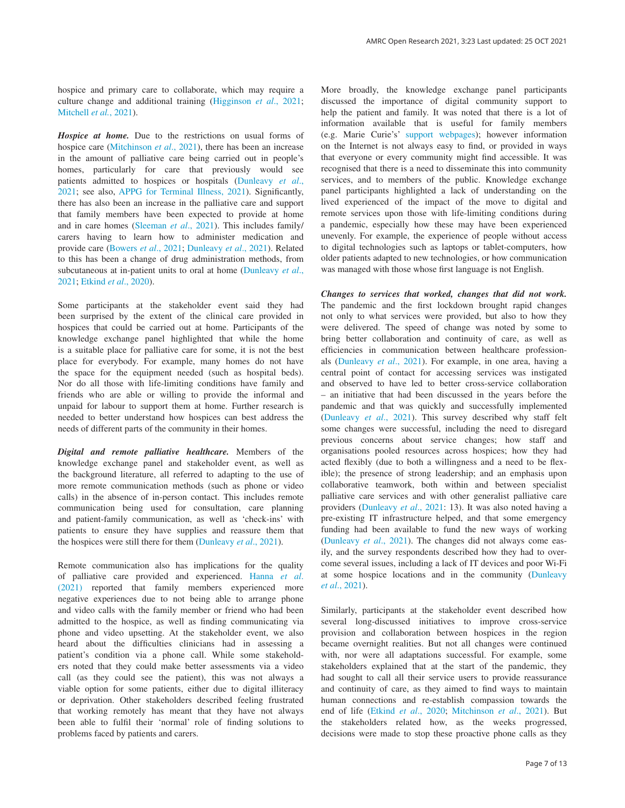hospice and primary care to collaborate, which may require a culture change and additional training ([Higginson](#page-9-0) *et al*., 2021; [Mitchell](#page-9-0) *et al.*, 2021).

*Hospice at home.* Due to the restrictions on usual forms of hospice care ([Mitchinson](#page-9-0) *et al*., 2021), there has been an increase in the amount of palliative care being carried out in people's homes, particularly for care that previously would see patients admitted to hospices or hospitals ([Dunleavy](#page-9-0) *et al*., [2021;](#page-9-0) see also, [APPG for Terminal Illness, 2021\)](#page-9-0). Significantly, there has also been an increase in the palliative care and support that family members have been expected to provide at home and in care homes [\(Sleeman](#page-9-0) *et al*., 2021). This includes family/ carers having to learn how to administer medication and provide care [\(Bowers](#page-9-0) *et al*., 2021; [Dunleavy](#page-9-0) *et al*., 2021). Related to this has been a change of drug administration methods, from subcutaneous at in-patient units to oral at home ([Dunleavy](#page-9-0) *et al*., [2021; Etkind](#page-9-0) *et al*., 2020).

Some participants at the stakeholder event said they had been surprised by the extent of the clinical care provided in hospices that could be carried out at home. Participants of the knowledge exchange panel highlighted that while the home is a suitable place for palliative care for some, it is not the best place for everybody. For example, many homes do not have the space for the equipment needed (such as hospital beds). Nor do all those with life-limiting conditions have family and friends who are able or willing to provide the informal and unpaid for labour to support them at home. Further research is needed to better understand how hospices can best address the needs of different parts of the community in their homes.

*Digital and remote palliative healthcare.* Members of the knowledge exchange panel and stakeholder event, as well as the background literature, all referred to adapting to the use of more remote communication methods (such as phone or video calls) in the absence of in-person contact. This includes remote communication being used for consultation, care planning and patient-family communication, as well as 'check-ins' with patients to ensure they have supplies and reassure them that the hospices were still there for them ([Dunleavy](#page-9-0) *et al*., 2021).

Remote communication also has implications for the quality of palliative care provided and experienced. [Hanna](#page-9-0) *et al*. [\(2021\)](#page-9-0) reported that family members experienced more negative experiences due to not being able to arrange phone and video calls with the family member or friend who had been admitted to the hospice, as well as finding communicating via phone and video upsetting. At the stakeholder event, we also heard about the difficulties clinicians had in assessing a patient's condition via a phone call. While some stakeholders noted that they could make better assessments via a video call (as they could see the patient), this was not always a viable option for some patients, either due to digital illiteracy or deprivation. Other stakeholders described feeling frustrated that working remotely has meant that they have not always been able to fulfil their 'normal' role of finding solutions to problems faced by patients and carers.

More broadly, the knowledge exchange panel participants discussed the importance of digital community support to help the patient and family. It was noted that there is a lot of information available that is useful for family members (e.g. Marie Curie's' [support webpages\)](https://www.mariecurie.org.uk/help/support); however information on the Internet is not always easy to find, or provided in ways that everyone or every community might find accessible. It was recognised that there is a need to disseminate this into community services, and to members of the public. Knowledge exchange panel participants highlighted a lack of understanding on the lived experienced of the impact of the move to digital and remote services upon those with life-limiting conditions during a pandemic, especially how these may have been experienced unevenly. For example, the experience of people without access to digital technologies such as laptops or tablet-computers, how older patients adapted to new technologies, or how communication was managed with those whose first language is not English.

*Changes to services that worked, changes that did not work.* The pandemic and the first lockdown brought rapid changes not only to what services were provided, but also to how they were delivered. The speed of change was noted by some to bring better collaboration and continuity of care, as well as efficiencies in communication between healthcare professionals [\(Dunleavy](#page-9-0) *et al*., 2021). For example, in one area, having a central point of contact for accessing services was instigated and observed to have led to better cross-service collaboration – an initiative that had been discussed in the years before the pandemic and that was quickly and successfully implemented ([Dunleavy](#page-9-0) *et al*., 2021). This survey described why staff felt some changes were successful, including the need to disregard previous concerns about service changes; how staff and organisations pooled resources across hospices; how they had acted flexibly (due to both a willingness and a need to be flexible); the presence of strong leadership; and an emphasis upon collaborative teamwork, both within and between specialist palliative care services and with other generalist palliative care providers ([Dunleavy](#page-9-0) *et al*., 2021: 13). It was also noted having a pre-existing IT infrastructure helped, and that some emergency funding had been available to fund the new ways of working ([Dunleavy](#page-9-0) *et al*., 2021). The changes did not always come easily, and the survey respondents described how they had to overcome several issues, including a lack of IT devices and poor Wi-Fi at some hospice locations and in the community ([Dunleavy](#page-9-0)  *et al*[., 2021](#page-9-0)).

Similarly, participants at the stakeholder event described how several long-discussed initiatives to improve cross-service provision and collaboration between hospices in the region became overnight realities. But not all changes were continued with, nor were all adaptations successful. For example, some stakeholders explained that at the start of the pandemic, they had sought to call all their service users to provide reassurance and continuity of care, as they aimed to find ways to maintain human connections and re-establish compassion towards the end of life (Etkind *et al*[., 2020](#page-9-0); [Mitchinson](#page-9-0) *et al*., 2021). But the stakeholders related how, as the weeks progressed, decisions were made to stop these proactive phone calls as they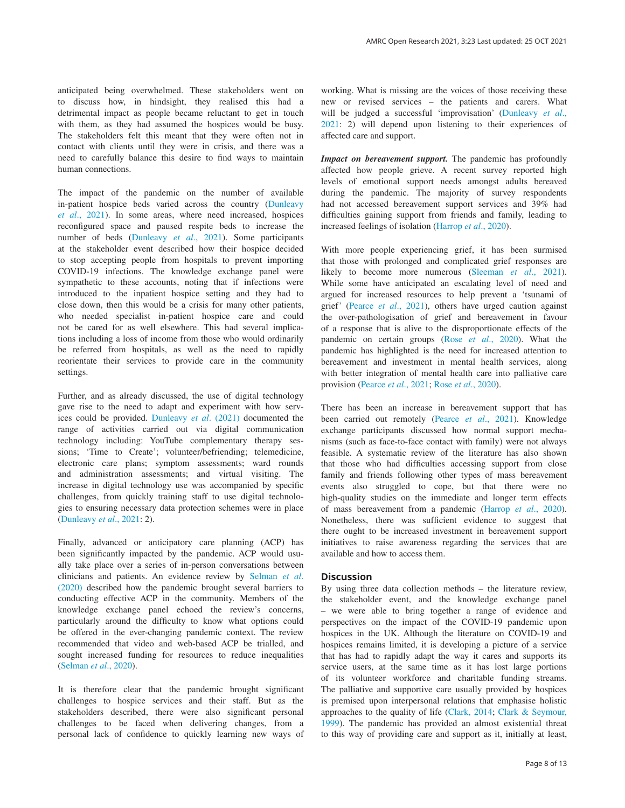anticipated being overwhelmed. These stakeholders went on to discuss how, in hindsight, they realised this had a detrimental impact as people became reluctant to get in touch with them, as they had assumed the hospices would be busy. The stakeholders felt this meant that they were often not in contact with clients until they were in crisis, and there was a need to carefully balance this desire to find ways to maintain human connections.

The impact of the pandemic on the number of available in-patient hospice beds varied across the country ([Dunleavy](#page-9-0)  *et al*[., 2021\)](#page-9-0). In some areas, where need increased, hospices reconfigured space and paused respite beds to increase the number of beds [\(Dunleavy](#page-9-0) *et al*., 2021). Some participants at the stakeholder event described how their hospice decided to stop accepting people from hospitals to prevent importing COVID-19 infections. The knowledge exchange panel were sympathetic to these accounts, noting that if infections were introduced to the inpatient hospice setting and they had to close down, then this would be a crisis for many other patients, who needed specialist in-patient hospice care and could not be cared for as well elsewhere. This had several implications including a loss of income from those who would ordinarily be referred from hospitals, as well as the need to rapidly reorientate their services to provide care in the community settings.

Further, and as already discussed, the use of digital technology gave rise to the need to adapt and experiment with how services could be provided. [Dunleavy](#page-9-0) *et al*. (2021) documented the range of activities carried out via digital communication technology including: YouTube complementary therapy sessions; 'Time to Create'; volunteer/befriending; telemedicine, electronic care plans; symptom assessments; ward rounds and administration assessments; and virtual visiting. The increase in digital technology use was accompanied by specific challenges, from quickly training staff to use digital technologies to ensuring necessary data protection schemes were in place ([Dunleavy](#page-9-0) *et al*., 2021: 2).

Finally, advanced or anticipatory care planning (ACP) has been significantly impacted by the pandemic. ACP would usually take place over a series of in-person conversations between clinicians and patients. An evidence review by [Selman](#page-9-0) *et al*. [\(2020\)](#page-9-0) described how the pandemic brought several barriers to conducting effective ACP in the community. Members of the knowledge exchange panel echoed the review's concerns, particularly around the difficulty to know what options could be offered in the ever-changing pandemic context. The review recommended that video and web-based ACP be trialled, and sought increased funding for resources to reduce inequalities ([Selman](#page-9-0) *et al*., 2020).

It is therefore clear that the pandemic brought significant challenges to hospice services and their staff. But as the stakeholders described, there were also significant personal challenges to be faced when delivering changes, from a personal lack of confidence to quickly learning new ways of working. What is missing are the voices of those receiving these new or revised services – the patients and carers. What will be judged a successful 'improvisation' [\(Dunleavy](#page-9-0) *et al*., [2021:](#page-9-0) 2) will depend upon listening to their experiences of affected care and support.

*Impact on bereavement support.* The pandemic has profoundly affected how people grieve. A recent survey reported high levels of emotional support needs amongst adults bereaved during the pandemic. The majority of survey respondents had not accessed bereavement support services and 39% had difficulties gaining support from friends and family, leading to increased feelings of isolation ([Harrop](#page-9-0) *et al*., 2020).

With more people experiencing grief, it has been surmised that those with prolonged and complicated grief responses are likely to become more numerous [\(Sleeman](#page-9-0) *et al*., 2021). While some have anticipated an escalating level of need and argued for increased resources to help prevent a 'tsunami of grief' (Pearce *et al*[., 2021](#page-9-0)), others have urged caution against the over-pathologisation of grief and bereavement in favour of a response that is alive to the disproportionate effects of the pandemic on certain groups (Rose *et al*[., 2020\)](#page-9-0). What the pandemic has highlighted is the need for increased attention to bereavement and investment in mental health services, along with better integration of mental health care into palliative care provision ([Pearce](#page-9-0) *et al*., 2021; Rose *et al*[., 2020\)](#page-9-0).

There has been an increase in bereavement support that has been carried out remotely (Pearce *et al*[., 2021](#page-9-0)). Knowledge exchange participants discussed how normal support mechanisms (such as face-to-face contact with family) were not always feasible. A systematic review of the literature has also shown that those who had difficulties accessing support from close family and friends following other types of mass bereavement events also struggled to cope, but that there were no high-quality studies on the immediate and longer term effects of mass bereavement from a pandemic [\(Harrop](#page-9-0) *et al*., 2020). Nonetheless, there was sufficient evidence to suggest that there ought to be increased investment in bereavement support initiatives to raise awareness regarding the services that are available and how to access them.

#### **Discussion**

By using three data collection methods – the literature review, the stakeholder event, and the knowledge exchange panel – we were able to bring together a range of evidence and perspectives on the impact of the COVID-19 pandemic upon hospices in the UK. Although the literature on COVID-19 and hospices remains limited, it is developing a picture of a service that has had to rapidly adapt the way it cares and supports its service users, at the same time as it has lost large portions of its volunteer workforce and charitable funding streams. The palliative and supportive care usually provided by hospices is premised upon interpersonal relations that emphasise holistic approaches to the quality of life [\(Clark, 2014;](#page-9-0) [Clark & Seymour,](#page-9-0) [1999\)](#page-9-0). The pandemic has provided an almost existential threat to this way of providing care and support as it, initially at least,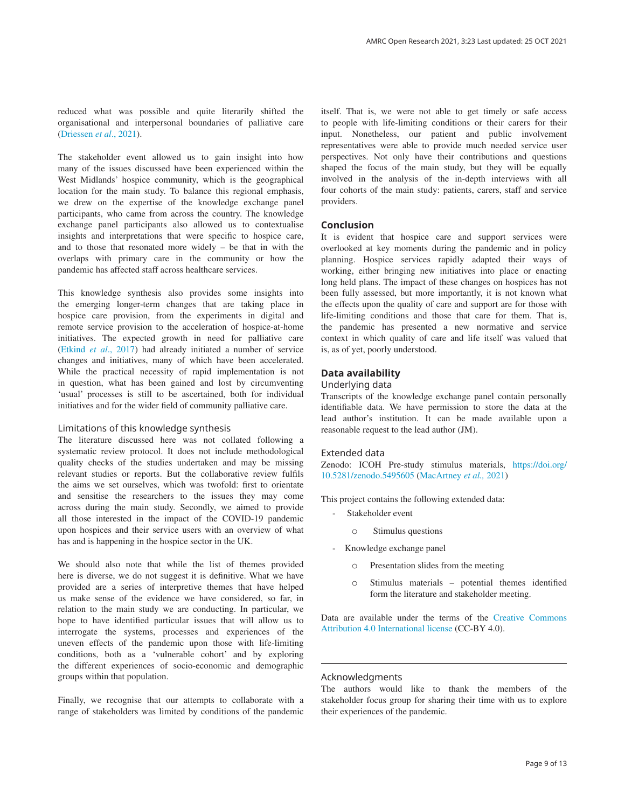reduced what was possible and quite literarily shifted the organisational and interpersonal boundaries of palliative care ([Driessen](#page-9-0) *et al*., 2021).

The stakeholder event allowed us to gain insight into how many of the issues discussed have been experienced within the West Midlands' hospice community, which is the geographical location for the main study. To balance this regional emphasis, we drew on the expertise of the knowledge exchange panel participants, who came from across the country. The knowledge exchange panel participants also allowed us to contextualise insights and interpretations that were specific to hospice care, and to those that resonated more widely – be that in with the overlaps with primary care in the community or how the pandemic has affected staff across healthcare services.

This knowledge synthesis also provides some insights into the emerging longer-term changes that are taking place in hospice care provision, from the experiments in digital and remote service provision to the acceleration of hospice-at-home initiatives. The expected growth in need for palliative care (Etkind *et al*[., 2017](#page-9-0)) had already initiated a number of service changes and initiatives, many of which have been accelerated. While the practical necessity of rapid implementation is not in question, what has been gained and lost by circumventing 'usual' processes is still to be ascertained, both for individual initiatives and for the wider field of community palliative care.

## Limitations of this knowledge synthesis

The literature discussed here was not collated following a systematic review protocol. It does not include methodological quality checks of the studies undertaken and may be missing relevant studies or reports. But the collaborative review fulfils the aims we set ourselves, which was twofold: first to orientate and sensitise the researchers to the issues they may come across during the main study. Secondly, we aimed to provide all those interested in the impact of the COVID-19 pandemic upon hospices and their service users with an overview of what has and is happening in the hospice sector in the UK.

We should also note that while the list of themes provided here is diverse, we do not suggest it is definitive. What we have provided are a series of interpretive themes that have helped us make sense of the evidence we have considered, so far, in relation to the main study we are conducting. In particular, we hope to have identified particular issues that will allow us to interrogate the systems, processes and experiences of the uneven effects of the pandemic upon those with life-limiting conditions, both as a 'vulnerable cohort' and by exploring the different experiences of socio-economic and demographic groups within that population.

Finally, we recognise that our attempts to collaborate with a range of stakeholders was limited by conditions of the pandemic itself. That is, we were not able to get timely or safe access to people with life-limiting conditions or their carers for their input. Nonetheless, our patient and public involvement representatives were able to provide much needed service user perspectives. Not only have their contributions and questions shaped the focus of the main study, but they will be equally involved in the analysis of the in-depth interviews with all four cohorts of the main study: patients, carers, staff and service providers.

### **Conclusion**

It is evident that hospice care and support services were overlooked at key moments during the pandemic and in policy planning. Hospice services rapidly adapted their ways of working, either bringing new initiatives into place or enacting long held plans. The impact of these changes on hospices has not been fully assessed, but more importantly, it is not known what the effects upon the quality of care and support are for those with life-limiting conditions and those that care for them. That is, the pandemic has presented a new normative and service context in which quality of care and life itself was valued that is, as of yet, poorly understood.

## **Data availability**

#### Underlying data

Transcripts of the knowledge exchange panel contain personally identifiable data. We have permission to store the data at the lead author's institution. It can be made available upon a reasonable request to the lead author (JM).

#### Extended data

Zenodo: ICOH Pre-study stimulus materials, [https://doi.org/](https://doi.org/10.5281/zenodo.5495605) [10.5281/zenodo.5495605](https://doi.org/10.5281/zenodo.5495605) [\(MacArtney](#page-9-0) *et al.,* 2021)

This project contains the following extended data:

- Stakeholder event
	- o Stimulus questions
- Knowledge exchange panel
	- o Presentation slides from the meeting
	- o Stimulus materials potential themes identified form the literature and stakeholder meeting.

Data are available under the terms of the [Creative Commons](https://creativecommons.org/licenses/by/4.0/)  [Attribution 4.0 International license](https://creativecommons.org/licenses/by/4.0/) (CC-BY 4.0).

#### Acknowledgments

The authors would like to thank the members of the stakeholder focus group for sharing their time with us to explore their experiences of the pandemic.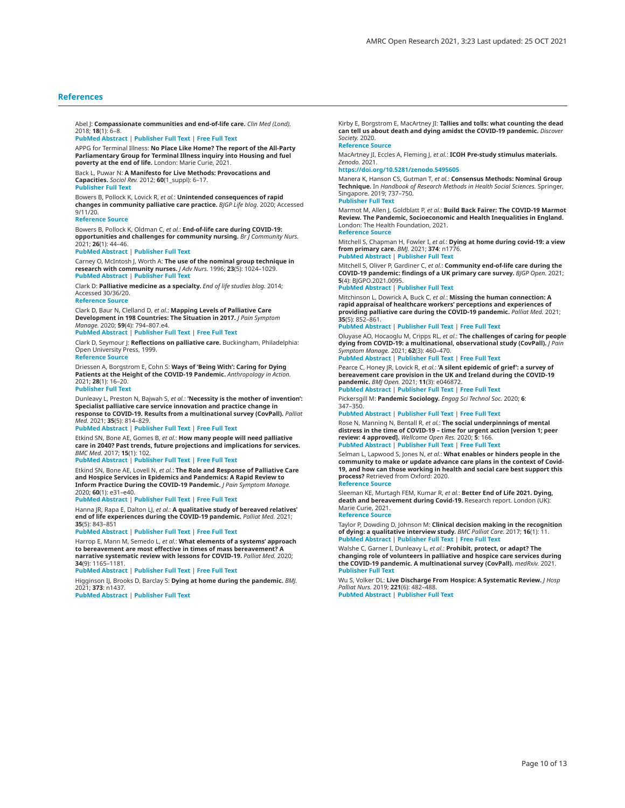#### <span id="page-9-0"></span>**References**

Abel J: **Compassionate communities and end-of-life care.** *Clin Med (Lond).* 2018; **18**(1): 6–8.

#### **[PubMed Abstract](http://www.ncbi.nlm.nih.gov/pubmed/29436431)** | **[Publisher Full Text](http://dx.doi.org/10.7861/clinmedicine.18-1-6)** | **[Free Full Text](http://www.ncbi.nlm.nih.gov/pmc/articles/6330929)**

APPG for Terminal Illness: **No Place Like Home? The report of the All-Party Parliamentary Group for Terminal Illness inquiry into Housing and fuel poverty at the end of life.** London: Marie Curie, 2021.

Back L, Puwar N: **A Manifesto for Live Methods: Provocations and Capacities.** *Sociol Rev.* 2012; **60**(1\_suppl): 6–17. **[Publisher Full Text](http://dx.doi.org/10.1111/j.1467-954X.2012.02114.x)**

Bowers B, Pollock K, Lovick R, *et al.*: **Unintended consequences of rapid** 

**changes in community palliative care practice.** *BJGP Life blog.* 2020; Accessed  $9/11/20$ 

#### **[Reference Source](https://bjgplife.com/2020/11/02/unintended-consequences-of-rapid-changes-in-community-palliative-care-practice/)**

Bowers B, Pollock K, Oldman C, *et al.*: **End-of-life care during COVID-19: opportunities and challenges for community nursing.** *Br J Community Nurs.* 2021; **26**(1): 44–46.

#### **[PubMed Abstract](http://www.ncbi.nlm.nih.gov/pubmed/33356939)** | **[Publisher Full Text](http://dx.doi.org/10.12968/bjcn.2021.26.1.44)**

Carney O, McIntosh J, Worth A: **The use of the nominal group technique in research with community nurses.** *J Adv Nurs.* 1996; **23**(5): 1024–1029. **[PubMed Abstract](http://www.ncbi.nlm.nih.gov/pubmed/8732532)** | **[Publisher Full Text](http://dx.doi.org/10.1046/j.1365-2648.1996.09623.x)**

Clark D: **Palliative medicine as a specialty.** *End of life studies blog.* 2014; Accessed 30/36/20. **[Reference Source](http://endoflifestudies.academicblogs.co.uk/palliative-medicine-as-a-specialty/)**

Clark D, Baur N, Clelland D, *et al.*: **Mapping Levels of Palliative Care Development in 198 Countries: The Situation in 2017.** *J Pain Symptom Manage.* 2020; **59**(4): 794–807.e4.

#### **[PubMed Abstract](http://www.ncbi.nlm.nih.gov/pubmed/31760142)** | **[Publisher Full Text](http://dx.doi.org/10.1016/j.jpainsymman.2019.11.009)** | **[Free Full Text](http://www.ncbi.nlm.nih.gov/pmc/articles/7105817)**

Clark D, Seymour J: **Reflections on palliative care.** Buckingham, Philadelphia: Open University Press, 1999. **[Reference Source](http://eprints.gla.ac.uk/55406/)**

Driessen A, Borgstrom E, Cohn S: **Ways of 'Being With': Caring for Dying Patients at the Height of the COVID-19 Pandemic.** *Anthropology in Action.* 2021; **28**(1): 16–20.

#### **[Publisher Full Text](http://dx.doi.org/10.3167/aia.2021.280103)**

Dunleavy L, Preston N, Bajwah S, *et al.*: **'Necessity is the mother of invention': Specialist palliative care service innovation and practice change in response to COVID-19. Results from a multinational survey (CovPall).** *Palliat Med.* 2021; **35**(5): 814–829.

#### **[PubMed Abstract](http://www.ncbi.nlm.nih.gov/pubmed/33754892)** | **[Publisher Full Text](http://dx.doi.org/10.1177/02692163211000660)** | **[Free Full Text](http://www.ncbi.nlm.nih.gov/pmc/articles/8114457)**

Etkind SN, Bone AE, Gomes B, *et al.*: **How many people will need palliative care in 2040? Past trends, future projections and implications for services.** *BMC Med.* 2017; **15**(1): 102.

#### **[PubMed Abstract](http://www.ncbi.nlm.nih.gov/pubmed/28514961)** | **[Publisher Full Text](http://dx.doi.org/10.1186/s12916-017-0860-2)** | **[Free Full Text](http://www.ncbi.nlm.nih.gov/pmc/articles/5436458)**

Etkind SN, Bone AE, Lovell N, *et al.*: **The Role and Response of Palliative Care and Hospice Services in Epidemics and Pandemics: A Rapid Review to Inform Practice During the COVID-19 Pandemic.** *J Pain Symptom Manage.* 2020; **60**(1): e31–e40.

#### **[PubMed Abstract](http://www.ncbi.nlm.nih.gov/pubmed/32278097)** | **[Publisher Full Text](http://dx.doi.org/10.1016/j.jpainsymman.2020.03.029)** | **[Free Full Text](http://www.ncbi.nlm.nih.gov/pmc/articles/7141635)**

Hanna JR, Rapa E, Dalton LJ, *et al.*: **A qualitative study of bereaved relatives' end of life experiences during the COVID-19 pandemic.** *Palliat Med.* 2021; **35**(5): 843–851

#### **[PubMed Abstract](http://www.ncbi.nlm.nih.gov/pubmed/33784908)** | **[Publisher Full Text](http://dx.doi.org/10.1177/02692163211004210)** | **[Free Full Text](http://www.ncbi.nlm.nih.gov/pmc/articles/8114449)**

Harrop E, Mann M, Semedo L, *et al.*: **What elements of a systems' approach to bereavement are most effective in times of mass bereavement? A narrative systematic review with lessons for COVID-19.** *Palliat Med.* 2020; **34**(9): 1165–1181.

**[PubMed Abstract](http://www.ncbi.nlm.nih.gov/pubmed/32736489)** | **[Publisher Full Text](http://dx.doi.org/10.1177/0269216320946273)** | **[Free Full Text](http://www.ncbi.nlm.nih.gov/pmc/articles/7495712)**

Higginson IJ, Brooks D, Barclay S: **Dying at home during the pandemic.** *BMJ.* 2021; **373**: n1437.

**[PubMed Abstract](http://www.ncbi.nlm.nih.gov/pubmed/34103303)** | **[Publisher Full Text](http://dx.doi.org/10.1136/bmj.n1437)**

Kirby E, Borgstrom E, MacArtney JI: **Tallies and tolls: what counting the dead can tell us about death and dying amidst the COVID-19 pandemic.** *Discover Society.* 2020.

## **Reference Sour**

MacArtney JI, Eccles A, Fleming J, *et al.*: **ICOH Pre-study stimulus materials.** *Zenodo.* 2021.

#### **[https://doi.org/10.5281/zenodo.5495605](http://dx.doi.org/10.5281/zenodo.5495605)**

Manera K, Hanson CS, Gutman T, *et al.*: **Consensus Methods: Nominal Group Technique.** In *Handbook of Research Methods in Health Social Sciences.* Springer, Singapore. 2019; 737–750.

#### **[Publisher Full Text](http://dx.doi.org/10.1007/978-981-10-5251-4_100)**

Marmot M, Allen J, Goldblatt P, *et al.*: **Build Back Fairer: The COVID-19 Marmot Review. The Pandemic, Socioeconomic and Health Inequalities in England.** London: The Health Foundation, 2021. **[Reference Source](https://www.health.org.uk/publications/build-back-fairer-the-covid-19-marmot-review)**

Mitchell S, Chapman H, Fowler I, *et al.*: **Dying at home during covid-19: a view from primary care.** *BMJ.* 2021; **374**: n1776. **[PubMed Abstract](http://www.ncbi.nlm.nih.gov/pubmed/34261622)** | **[Publisher Full Text](http://dx.doi.org/10.1136/bmj.n1776)**

Mitchell S, Oliver P, Gardiner C, *et al.*: **Community end-of-life care during the COVID-19 pandemic: findings of a UK primary care survey.** *BJGP Open.* 2021; **5**(4): BJGPO.2021.0095.

#### **[PubMed Abstract](http://www.ncbi.nlm.nih.gov/pubmed/34117014)** | **[Publisher Full Text](http://dx.doi.org/10.3399/BJGPO.2021.0095)**

Mitchinson L, Dowrick A, Buck C, *et al.*: **Missing the human connection: A rapid appraisal of healthcare workers' perceptions and experiences of providing palliative care during the COVID-19 pandemic.** *Palliat Med.* 2021; **35**(5): 852–861.

#### **[PubMed Abstract](http://www.ncbi.nlm.nih.gov/pubmed/33775169)** | **[Publisher Full Text](http://dx.doi.org/10.1177/02692163211004228)** | **[Free Full Text](http://www.ncbi.nlm.nih.gov/pmc/articles/8114443)**

Oluyase AO, Hocaoglu M, Cripps RL, *et al.*: **The challenges of caring for people dying from COVID-19: a multinational, observational study (CovPall).** *J Pain Symptom Manage.* 2021; **62**(3): 460–470.

# **[PubMed Abstract](http://www.ncbi.nlm.nih.gov/pubmed/33556496)** | **[Publisher Full Text](http://dx.doi.org/10.1016/j.jpainsymman.2021.01.138)** | **[Free Full Text](http://www.ncbi.nlm.nih.gov/pmc/articles/7863772)**

Pearce C, Honey JR, Lovick R, *et al.*: **'A silent epidemic of grief': a survey of bereavement care provision in the UK and Ireland during the COVID-19 pandemic.** *BMJ Open.* 2021; **11**(3): e046872. **[PubMed Abstract](http://www.ncbi.nlm.nih.gov/pubmed/33658262)** | **[Publisher Full Text](http://dx.doi.org/10.1136/bmjopen-2020-046872)** | **[Free Full Text](http://www.ncbi.nlm.nih.gov/pmc/articles/7931210)**

Pickersgill M: **Pandemic Sociology.** *Engag Sci Technol Soc.* 2020; **6**:

347–350.

**[PubMed Abstract](http://www.ncbi.nlm.nih.gov/pubmed/33210012)** | **[Publisher Full Text](http://dx.doi.org/10.17351/ests2020.523)** | **[Free Full Text](http://www.ncbi.nlm.nih.gov/pmc/articles/7116370)**

Rose N, Manning N, Bentall R, *et al.*: **The social underpinnings of mental distress in the time of COVID-19 – time for urgent action [version 1; peer review: 4 approved].** *Wellcome Open Res.* 2020; **5**: 166. **[PubMed Abstract](http://www.ncbi.nlm.nih.gov/pubmed/32802967)** | **[Publisher Full Text](http://dx.doi.org/10.12688/wellcomeopenres.16123.1)** | **[Free Full Text](http://www.ncbi.nlm.nih.gov/pmc/articles/7411522)**

Selman L, Lapwood S, Jones N, *et al.*: **What enables or hinders people in the community to make or update advance care plans in the context of Covid-19, and how can those working in health and social care best support this process?** Retrieved from Oxford: 2020. **[Reference Source](https://www.cebm.net/covid-19/advance-care-planning-in-the-community-in-the-context-of-covid-19/)**

Sleeman KE, Murtagh FEM, Kumar R, *et al.*: **Better End of Life 2021. Dying, death and bereavement during Covid-19.** Research report. London (UK): Marie Curie, 2021. **[Reference Source](https://cicelysaundersinternational.org/better-end-of-life-report/)**

Taylor P, Dowding D, Johnson M: **Clinical decision making in the recognition of dying: a qualitative interview study.** *BMC Palliat Care.* 2017; **16**(1): 11. **[PubMed Abstract](http://www.ncbi.nlm.nih.gov/pubmed/28122614)** | **[Publisher Full Text](http://dx.doi.org/10.1186/s12904-016-0179-3)** | **[Free Full Text](http://www.ncbi.nlm.nih.gov/pmc/articles/5264295)**

Walshe C, Garner I, Dunleavy L, *et al.*: **Prohibit, protect, or adapt? The changing role of volunteers in palliative and hospice care services during the COVID-19 pandemic. A multinational survey (CovPall).** *medRxiv.* 2021. **[Publisher Full Text](http://dx.doi.org/10.1101/2021.03.28.21254486)**

Wu S, Volker DL: **Live Discharge From Hospice: A Systematic Review.** *J Hosp Palliat Nurs.* 2019; **221**(6): 482–488. **[PubMed Abstract](http://www.ncbi.nlm.nih.gov/pubmed/30964834)** | **[Publisher Full Text](http://dx.doi.org/10.1097/NJH.0000000000000547)**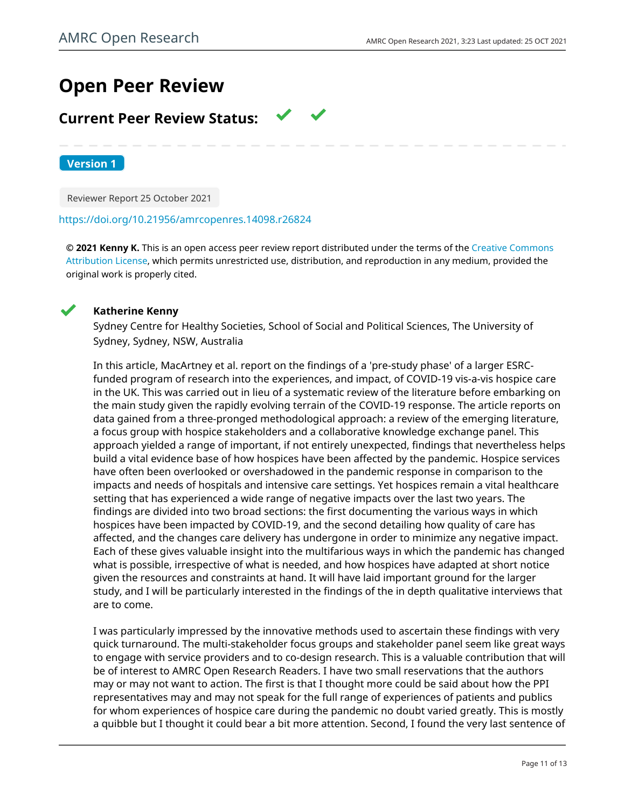# **Open Peer Review**

# **Current Peer Review Status:**

**Version 1**

Reviewer Report 25 October 2021

# <https://doi.org/10.21956/amrcopenres.14098.r26824>

**© 2021 Kenny K.** This is an open access peer review report distributed under the terms of the [Creative Commons](https://creativecommons.org/licenses/by/4.0/) [Attribution License](https://creativecommons.org/licenses/by/4.0/), which permits unrestricted use, distribution, and reproduction in any medium, provided the original work is properly cited.



# **Katherine Kenny**

Sydney Centre for Healthy Societies, School of Social and Political Sciences, The University of Sydney, Sydney, NSW, Australia

In this article, MacArtney et al. report on the findings of a 'pre-study phase' of a larger ESRCfunded program of research into the experiences, and impact, of COVID-19 vis-a-vis hospice care in the UK. This was carried out in lieu of a systematic review of the literature before embarking on the main study given the rapidly evolving terrain of the COVID-19 response. The article reports on data gained from a three-pronged methodological approach: a review of the emerging literature, a focus group with hospice stakeholders and a collaborative knowledge exchange panel. This approach yielded a range of important, if not entirely unexpected, findings that nevertheless helps build a vital evidence base of how hospices have been affected by the pandemic. Hospice services have often been overlooked or overshadowed in the pandemic response in comparison to the impacts and needs of hospitals and intensive care settings. Yet hospices remain a vital healthcare setting that has experienced a wide range of negative impacts over the last two years. The findings are divided into two broad sections: the first documenting the various ways in which hospices have been impacted by COVID-19, and the second detailing how quality of care has affected, and the changes care delivery has undergone in order to minimize any negative impact. Each of these gives valuable insight into the multifarious ways in which the pandemic has changed what is possible, irrespective of what is needed, and how hospices have adapted at short notice given the resources and constraints at hand. It will have laid important ground for the larger study, and I will be particularly interested in the findings of the in depth qualitative interviews that are to come.

I was particularly impressed by the innovative methods used to ascertain these findings with very quick turnaround. The multi-stakeholder focus groups and stakeholder panel seem like great ways to engage with service providers and to co-design research. This is a valuable contribution that will be of interest to AMRC Open Research Readers. I have two small reservations that the authors may or may not want to action. The first is that I thought more could be said about how the PPI representatives may and may not speak for the full range of experiences of patients and publics for whom experiences of hospice care during the pandemic no doubt varied greatly. This is mostly a quibble but I thought it could bear a bit more attention. Second, I found the very last sentence of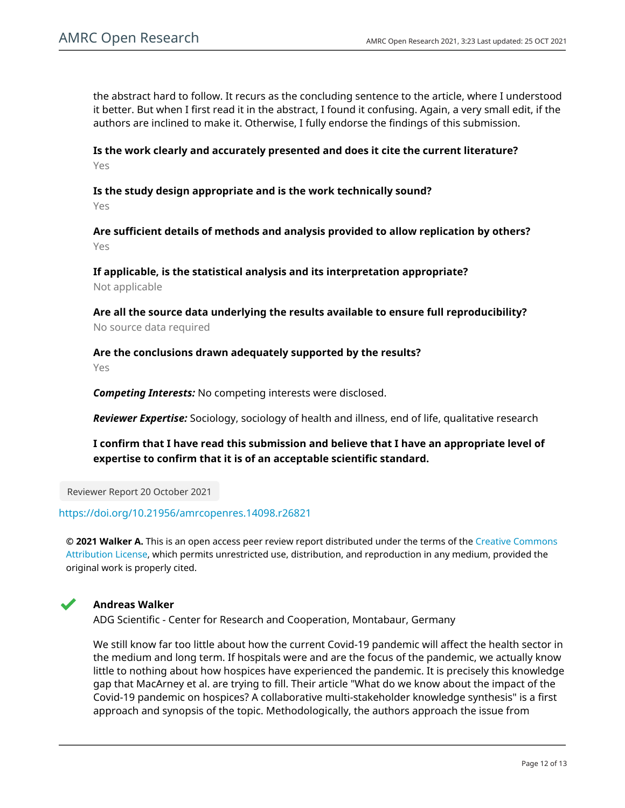the abstract hard to follow. It recurs as the concluding sentence to the article, where I understood it better. But when I first read it in the abstract, I found it confusing. Again, a very small edit, if the authors are inclined to make it. Otherwise, I fully endorse the findings of this submission.

**Is the work clearly and accurately presented and does it cite the current literature?** Yes

**Is the study design appropriate and is the work technically sound?**

Yes

**Are sufficient details of methods and analysis provided to allow replication by others?** Yes

**If applicable, is the statistical analysis and its interpretation appropriate?** Not applicable

**Are all the source data underlying the results available to ensure full reproducibility?** No source data required

**Are the conclusions drawn adequately supported by the results?** Yes

*Competing Interests:* No competing interests were disclosed.

*Reviewer Expertise:* Sociology, sociology of health and illness, end of life, qualitative research

**I confirm that I have read this submission and believe that I have an appropriate level of expertise to confirm that it is of an acceptable scientific standard.**

Reviewer Report 20 October 2021

# <https://doi.org/10.21956/amrcopenres.14098.r26821>

**© 2021 Walker A.** This is an open access peer review report distributed under the terms of the [Creative Commons](https://creativecommons.org/licenses/by/4.0/) [Attribution License](https://creativecommons.org/licenses/by/4.0/), which permits unrestricted use, distribution, and reproduction in any medium, provided the original work is properly cited.



# **Andreas Walker**

ADG Scientific - Center for Research and Cooperation, Montabaur, Germany

We still know far too little about how the current Covid-19 pandemic will affect the health sector in the medium and long term. If hospitals were and are the focus of the pandemic, we actually know little to nothing about how hospices have experienced the pandemic. It is precisely this knowledge gap that MacArney et al. are trying to fill. Their article "What do we know about the impact of the Covid-19 pandemic on hospices? A collaborative multi-stakeholder knowledge synthesis" is a first approach and synopsis of the topic. Methodologically, the authors approach the issue from